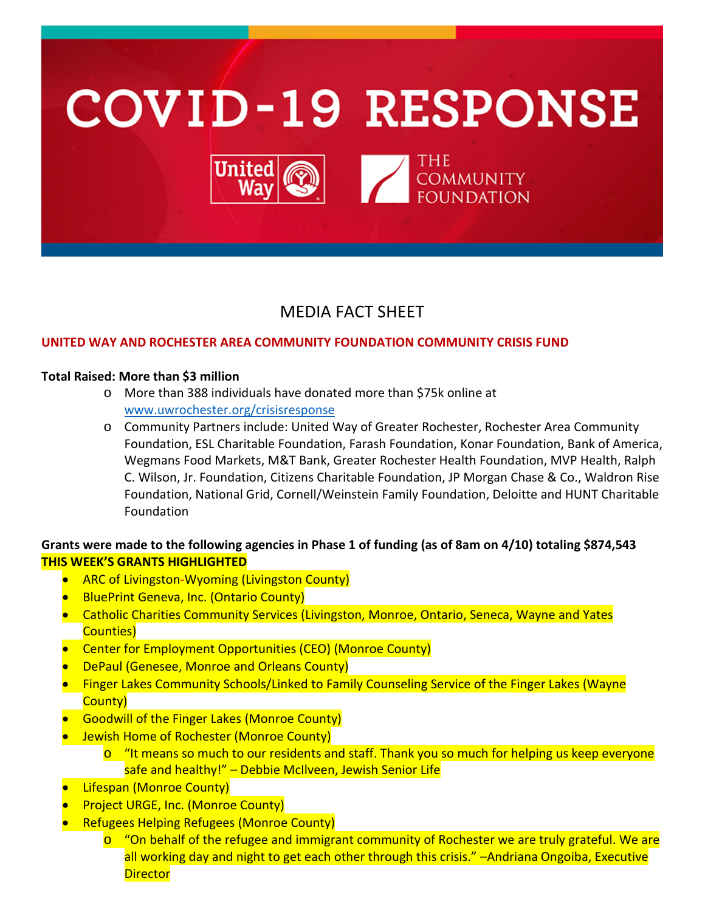

# MEDIA FACT SHEET

### **UNITED WAY AND ROCHESTER AREA COMMUNITY FOUNDATION COMMUNITY CRISIS FUND**

#### **Total Raised: More than \$3 million**

- o More than 388 individuals have donated more than \$75k online at [www.uwrochester.org/crisisresponse](http://www.uwrochester.org/crisisresponse)
- o Community Partners include: United Way of Greater Rochester, Rochester Area Community Foundation, ESL Charitable Foundation, Farash Foundation, Konar Foundation, Bank of America, Wegmans Food Markets, M&T Bank, Greater Rochester Health Foundation, MVP Health, Ralph C. Wilson, Jr. Foundation, Citizens Charitable Foundation, JP Morgan Chase & Co., Waldron Rise Foundation, National Grid, Cornell/Weinstein Family Foundation, Deloitte and HUNT Charitable Foundation

# **Grants were made to the following agencies in Phase 1 of funding (as of 8am on 4/10) totaling \$874,543 THIS WEEK'S GRANTS HIGHLIGHTED**

- ARC of Livingston-Wyoming (Livingston County)
- BluePrint Geneva, Inc. (Ontario County)
- Catholic Charities Community Services (Livingston, Monroe, Ontario, Seneca, Wayne and Yates Counties)
- Center for Employment Opportunities (CEO) (Monroe County)
- DePaul (Genesee, Monroe and Orleans County)
- Finger Lakes Community Schools/Linked to Family Counseling Service of the Finger Lakes (Wayne County)
- Goodwill of the Finger Lakes (Monroe County)
- Jewish Home of Rochester (Monroe County)
	- $\circ$  "It means so much to our residents and staff. Thank you so much for helping us keep everyone safe and healthy!" – Debbie McIlveen, Jewish Senior Life
- Lifespan (Monroe County)
- **Project URGE, Inc. (Monroe County)**
- Refugees Helping Refugees (Monroe County)
	- $\circ$  "On behalf of the refugee and immigrant community of Rochester we are truly grateful. We are all working day and night to get each other through this crisis." -Andriana Ongoiba, Executive **Director**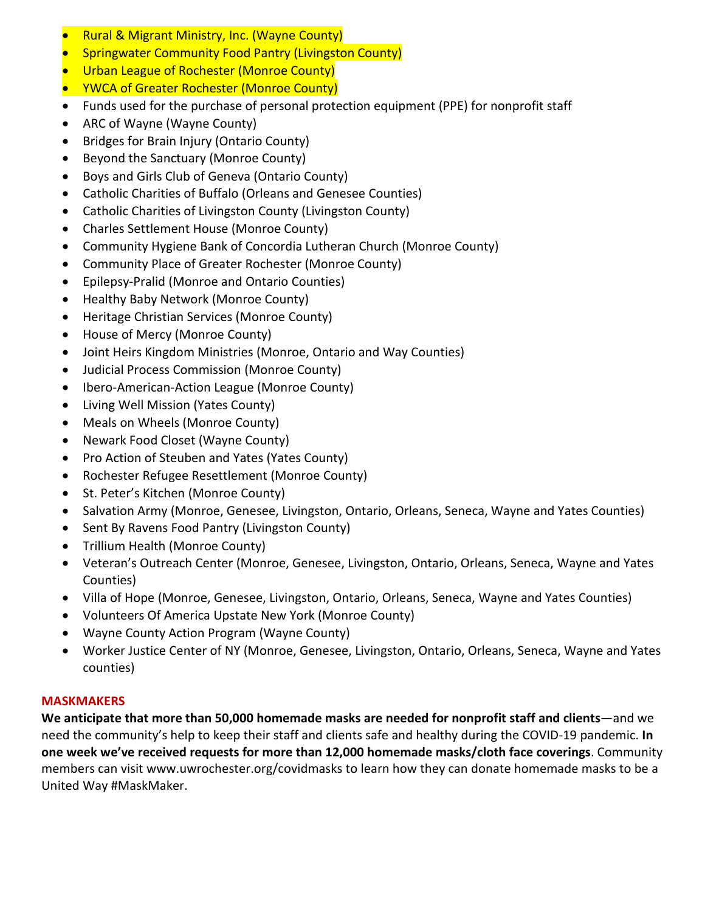- Rural & Migrant Ministry, Inc. (Wayne County)
- Springwater Community Food Pantry (Livingston County)
- Urban League of Rochester (Monroe County)
- YWCA of Greater Rochester (Monroe County)
- Funds used for the purchase of personal protection equipment (PPE) for nonprofit staff
- ARC of Wayne (Wayne County)
- Bridges for Brain Injury (Ontario County)
- Beyond the Sanctuary (Monroe County)
- Boys and Girls Club of Geneva (Ontario County)
- Catholic Charities of Buffalo (Orleans and Genesee Counties)
- Catholic Charities of Livingston County (Livingston County)
- Charles Settlement House (Monroe County)
- Community Hygiene Bank of Concordia Lutheran Church (Monroe County)
- Community Place of Greater Rochester (Monroe County)
- Epilepsy-Pralid (Monroe and Ontario Counties)
- Healthy Baby Network (Monroe County)
- Heritage Christian Services (Monroe County)
- House of Mercy (Monroe County)
- Joint Heirs Kingdom Ministries (Monroe, Ontario and Way Counties)
- Judicial Process Commission (Monroe County)
- Ibero-American-Action League (Monroe County)
- Living Well Mission (Yates County)
- Meals on Wheels (Monroe County)
- Newark Food Closet (Wayne County)
- Pro Action of Steuben and Yates (Yates County)
- Rochester Refugee Resettlement (Monroe County)
- St. Peter's Kitchen (Monroe County)
- Salvation Army (Monroe, Genesee, Livingston, Ontario, Orleans, Seneca, Wayne and Yates Counties)
- Sent By Ravens Food Pantry (Livingston County)
- Trillium Health (Monroe County)
- Veteran's Outreach Center (Monroe, Genesee, Livingston, Ontario, Orleans, Seneca, Wayne and Yates Counties)
- Villa of Hope (Monroe, Genesee, Livingston, Ontario, Orleans, Seneca, Wayne and Yates Counties)
- Volunteers Of America Upstate New York (Monroe County)
- Wayne County Action Program (Wayne County)
- Worker Justice Center of NY (Monroe, Genesee, Livingston, Ontario, Orleans, Seneca, Wayne and Yates counties)

## **MASKMAKERS**

**We anticipate that more than 50,000 homemade masks are needed for nonprofit staff and clients**—and we need the community's help to keep their staff and clients safe and healthy during the COVID-19 pandemic. **In one week we've received requests for more than 12,000 homemade masks/cloth face coverings**. Community members can visit www.uwrochester.org/covidmasks to learn how they can donate homemade masks to be a United Way #MaskMaker.